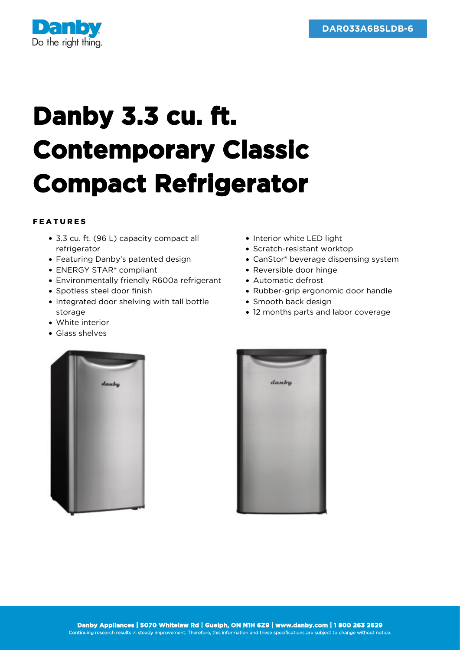

## **Danby 3.3 cu. ft. Contemporary Classic Compact Refrigerator**

## FEATURES

- 3.3 cu. ft. (96 L) capacity compact all refrigerator
- Featuring Danby's patented design
- ENERGY STAR® compliant
- Environmentally friendly R600a refrigerant
- Spotless steel door finish
- Integrated door shelving with tall bottle storage
- White interior
- Glass shelves
- Interior white LED light
- Scratch-resistant worktop
- CanStor® beverage dispensing system
- Reversible door hinge
- Automatic defrost
- Rubber-grip ergonomic door handle
- Smooth back design
- 12 months parts and labor coverage